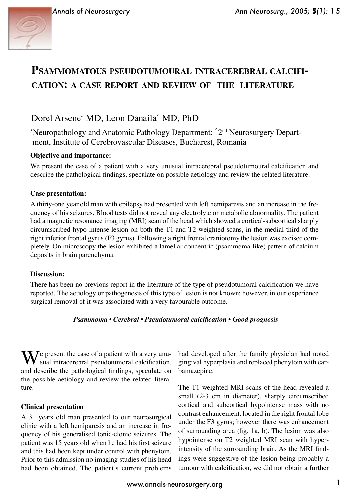

# **PSAMMOMATOUS PSEUDOTUMOURAL INTRACEREBRAL CALCIFI-CATION: A CASE REPORT AND REVIEW OF THE LITERATURE**

## Dorel Arsene\* MD, Leon Danaila˚ MD, PhD

\* Neuropathology and Anatomic Pathology Department; ˚2nd Neurosurgery Depart ment, Institute of Cerebrovascular Diseases, Bucharest, Romania

#### **Objective and importance:**

We present the case of a patient with a very unusual intracerebral pseudotumoural calcification and describe the pathological findings, speculate on possible aetiology and review the related literature.

#### **Case presentation:**

A thirty-one year old man with epilepsy had presented with left hemiparesis and an increase in the frequency of his seizures. Blood tests did not reveal any electrolyte or metabolic abnormality. The patient had a magnetic resonance imaging (MRI) scan of the head which showed a cortical-subcortical sharply circumscribed hypo-intense lesion on both the T1 and T2 weighted scans, in the medial third of the right inferior frontal gyrus (F3 gyrus). Following a right frontal craniotomy the lesion was excised completely. On microscopy the lesion exhibited a lamellar concentric (psammoma-like) pattern of calcium deposits in brain parenchyma.

#### **Discussion:**

There has been no previous report in the literature of the type of pseudotumoral calcification we have reported. The aetiology or pathogenesis of this type of lesion is not known; however, in our experience surgical removal of it was associated with a very favourable outcome.

#### *Psammoma • Cerebral • Pseudotumoral calcification • Good prognosis*

 $\sum_{n=1}^{\infty} I$  present the case of a patient with a very unusual intracerebral pseudotumoral calcification. and describe the pathological findings, speculate on the possible aetiology and review the related literature.

#### **Clinical presentation**

A 31 years old man presented to our neurosurgical clinic with a left hemiparesis and an increase in frequency of his generalised tonic-clonic seizures. The patient was 15 years old when he had his first seizure and this had been kept under control with phenytoin. Prior to this admission no imaging studies of his head had been obtained. The patient's current problems

had developed after the family physician had noted gingival hyperplasia and replaced phenytoin with carbamazepine.

The T1 weighted MRI scans of the head revealed a small (2-3 cm in diameter), sharply circumscribed cortical and subcortical hypointense mass with no contrast enhancement, located in the right frontal lobe under the F3 gyrus; however there was enhancement of surrounding area (fig. 1a, b). The lesion was also hypointense on T2 weighted MRI scan with hyperintensity of the surrounding brain. As the MRI findings were suggestive of the lesion being probably a tumour with calcification, we did not obtain a further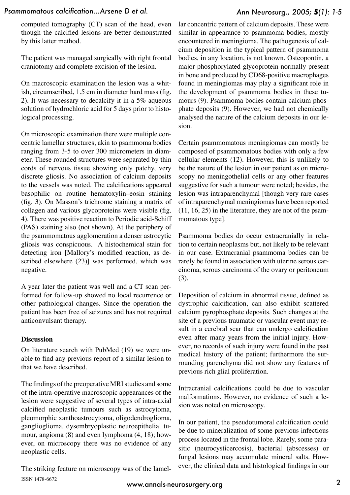#### *Ann Neurosurg., 2005;* **5***(1): 1-5*

computed tomography (CT) scan of the head, even though the calcified lesions are better demonstrated by this latter method.

The patient was managed surgically with right frontal craniotomy and complete excision of the lesion.

On macroscopic examination the lesion was a whitish, circumscribed, 1.5 cm in diameter hard mass (fig. 2). It was necessary to decalcify it in a 5% aqueous solution of hydrochloric acid for 5 days prior to histological processing.

On microscopic examination there were multiple concentric lamellar structures, akin to psammoma bodies ranging from 3-5 to over 300 micrometers in diameter. These rounded structures were separated by thin cords of nervous tissue showing only patchy, very discrete gliosis. No association of calcium deposits to the vessels was noted. The calcifications appeared basophilic on routine hematoxylin–eosin staining (fig. 3). On Masson's trichrome staining a matrix of collagen and various glycoproteins were visible (fig. 4). There was positive reaction to Periodic acid-Schiff (PAS) staining also (not shown). At the periphery of the psammomatous agglomeration a denser astrocytic gliosis was conspicuous. A histochemical stain for detecting iron [Mallory's modified reaction, as described elsewhere (23)] was performed, which was negative.

A year later the patient was well and a CT scan performed for follow-up showed no local recurrence or other pathological changes. Since the operation the patient has been free of seizures and has not required anticonvulsant therapy.

#### **Discussion**

On literature search with PubMed (19) we were unable to find any previous report of a similar lesion to that we have described.

The findings of the preoperative MRI studies and some of the intra-operative macroscopic appearances of the lesion were suggestive of several types of intra-axial calcified neoplastic tumours such as astrocytoma, pleomorphic xanthoastrocytoma, oligodendroglioma, ganglioglioma, dysembryoplastic neuroepithelial tumour, angioma (8) and even lymphoma (4, 18); however, on microscopy there was no evidence of any neoplastic cells.

The striking feature on microscopy was of the lamel-ISSN 1478-6672

lar concentric pattern of calcium deposits. These were similar in appearance to psammoma bodies, mostly encountered in meningioma. The pathogenesis of calcium deposition in the typical pattern of psammoma bodies, in any location, is not known. Osteopontin, a major phosphorylated glycoprotein normally present in bone and produced by CD68-positive macrophages found in meningiomas may play a significant role in the development of psammoma bodies in these tumours (9). Psammoma bodies contain calcium phosphate deposits (9). However, we had not chemically analysed the nature of the calcium deposits in our lesion.

Certain psammomatous meningiomas can mostly be composed of psammomatous bodies with only a few cellular elements (12). However, this is unlikely to be the nature of the lesion in our patient as on microscopy no meningothelial cells or any other features suggestive for such a tumour were noted; besides, the lesion was intraparenchymal [though very rare cases of intraparenchymal meningiomas have been reported (11, 16, 25) in the literature, they are not of the psammomatous type].

Psammoma bodies do occur extracranially in relation to certain neoplasms but, not likely to be relevant in our case. Extracranial psammoma bodies can be rarely be found in association with uterine serous carcinoma, serous carcinoma of the ovary or peritoneum (3).

Deposition of calcium in abnormal tissue, defined as dystrophic calcification, can also exhibit scattered calcium pyrophosphate deposits. Such changes at the site of a previous traumatic or vascular event may result in a cerebral scar that can undergo calcification even after many years from the initial injury. However, no records of such injury were found in the past medical history of the patient; furthermore the surrounding parenchyma did not show any features of previous rich glial proliferation.

Intracranial calcifications could be due to vascular malformations. However, no evidence of such a lesion was noted on microscopy.

In our patient, the pseudotumoral calcification could be due to mineralization of some previous infectious process located in the frontal lobe. Rarely, some parasitic (neurocysticercosis), bacterial (abscesses) or fungal lesions may accumulate mineral salts. However, the clinical data and histological findings in our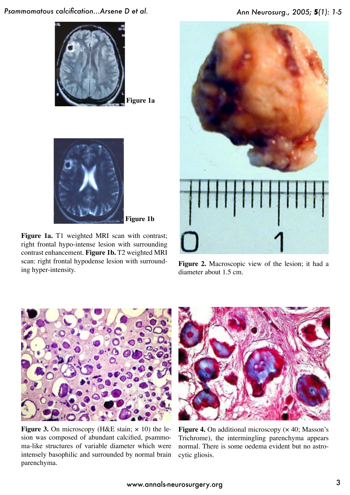

**Figure 1a**



**Figure 1b**

Figure 1a. T1 weighted MRI scan with contrast; right frontal hypo-intense lesion with surrounding contrast enhancement. **Figure 1b.** T2 weighted MRI scan: right frontal hypodense lesion with surrounding hyper-intensity.



**Figure 2.** Macroscopic view of the lesion; it had a diameter about 1.5 cm.



**Figure 3.** On microscopy (H&E stain;  $\times$  10) the lesion was composed of abundant calcified, psammoma-like structures of variable diameter which were intensely basophilic and surrounded by normal brain parenchyma.



**Figure 4.** On additional microscopy ( $\times$  40; Masson's Trichrome), the intermingling parenchyma appears normal. There is some oedema evident but no astrocytic gliosis.

### *Ann Neurosurg., 2005;* **5***(1): 1-5*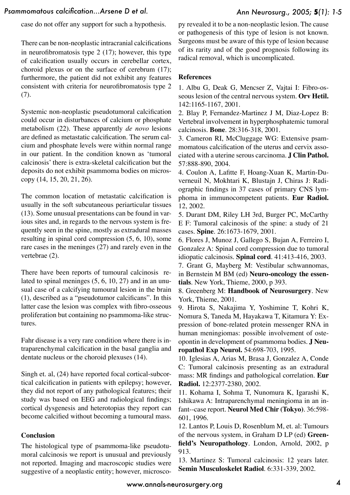case do not offer any support for such a hypothesis.

There can be non-neoplastic intracranial calcifications in neurofibromatosis type 2 (17); however, this type of calcification usually occurs in cerebellar cortex, choroid plexus or on the surface of cerebrum (17); furthermore, the patient did not exhibit any features consistent with criteria for neurofibromatosis type 2 (7).

Systemic non-neoplastic pseudotumoral calcification could occur in disturbances of calcium or phosphate metabolism (22). These apparently *de novo* lesions are defined as metastatic calcification. The serum calcium and phosphate levels were within normal range in our patient. In the condition known as ʻtumoral calcinosis' there is extra-skeletal calcification but the deposits do not exhibit psammoma bodies on microscopy (14, 15, 20, 21, 26).

The common location of metastatic calcification is usually in the soft subcutaneous periarticular tissues (13). Some unusual presentations can be found in various sites and, in regards to the nervous system is frequently seen in the spine, mostly as extradural masses resulting in spinal cord compression (5, 6, 10), some rare cases in the meninges (27) and rarely even in the vertebrae (2).

There have been reports of tumoural calcinosis related to spinal meninges (5, 6, 10, 27) and in an unusual case of a calcifying tumoural lesion in the brain (1), described as a "pseudotumor calcificans". In this latter case the lesion was complex with fibro-osseous proliferation but containing no psammoma-like structures.

Fahr disease is a very rare condition where there is intraparenchymal calcification in the basal ganglia and dentate nucleus or the choroid plexuses (14).

Singh et. al, (24) have reported focal cortical-subcortical calcification in patients with epilepsy; however, they did not report of any pathological features; their study was based on EEG and radiological findings; cortical dysgenesis and heterotopias they report can become calcified without becoming a tumoural mass.

#### **Conclusion**

The histological type of psammoma-like pseudotumoral calcinosis we report is unusual and previously not reported. Imaging and macroscopic studies were suggestive of a neoplastic entity; however, microscopy revealed it to be a non-neoplastic lesion. The cause or pathogenesis of this type of lesion is not known. Surgeons must be aware of this type of lesion because of its rarity and of the good prognosis following its radical removal, which is uncomplicated.

#### **References**

1. Albu G, Deak G, Mencser Z, Vajtai I: Fibro-osseous lesion of the central nervous system. **Orv Hetil.** 142:1165-1167, 2001.

2. Blay P, Fernandez-Martinez J M, Diaz-Lopez B: Vertebral involvement in hyperphosphatemic tumoral calcinosis. **Bone**. 28:316-318, 2001.

3. Cameron RI, McCluggage WG: Extensive psammomatous calcification of the uterus and cervix associated with a uterine serous carcinoma. **J Clin Pathol.**  57:888-890, 2004.

4. Coulon A, Lafitte F, Hoang-Xuan K, Martin-Duverneuil N, Mokhtari K, Blustajn J, Chiras J: Radiographic findings in 37 cases of primary CNS lymphoma in immunocompetent patients. **Eur Radiol.** 12, 2002.

5. Durant DM, Riley LH 3rd, Burger PC, McCarthy E F: Tumoral calcinosis of the spine: a study of 21 cases. **Spine**. 26:1673-1679, 2001.

6. Flores J, Munoz J, Gallego S, Bujan A, Ferreiro I, Gonzalez A: Spinal cord compression due to tumoral idiopatic calcinosis. **Spinal cord**. 41:413-416, 2003.

7. Grant G, Mayberg M: Vestibular schwannomas, in Bernstein M BM (ed) **Neuro-oncology the essentials**. New York, Thieme, 2000, p 393.

8. Greenberg M: **Handbook of Neurosurgery**. New York, Thieme, 2001.

9. Hirota S, Nakajima Y, Yoshimine T, Kohri K, Nomura S, Taneda M, Hayakawa T, Kitamura Y: Expression of bone-related protein messenger RNA in human meningiomas: possible involvement of osteopontin in development of psammoma bodies. **J Neuropathol Exp Neurol.** 54:698-703, 1995.

10. Iglesias A, Arias M, Brasa J, Gonzalez A, Conde C: Tumoral calcinosis presenting as an extradural mass: MR findings and pathological correlation. **Eur Radiol.** 12:2377-2380, 2002.

11. Kohama I, Sohma T, Nunomura K, Igarashi K, Ishikawa A: Intraparenchymal meningioma in an infant--case report. **Neurol Med Chir (Tokyo)**. 36:598- 601, 1996.

12. Lantos P, Louis D, Rosenblum M, et. al: Tumours of the nervous system, in Graham D LP (ed) **Greenfield's Neuropathology**. London, Arnold, 2002, p 913.

13. Martinez S: Tumoral calcinosis: 12 years later. **Semin Musculoskelet Radiol**. 6:331-339, 2002.